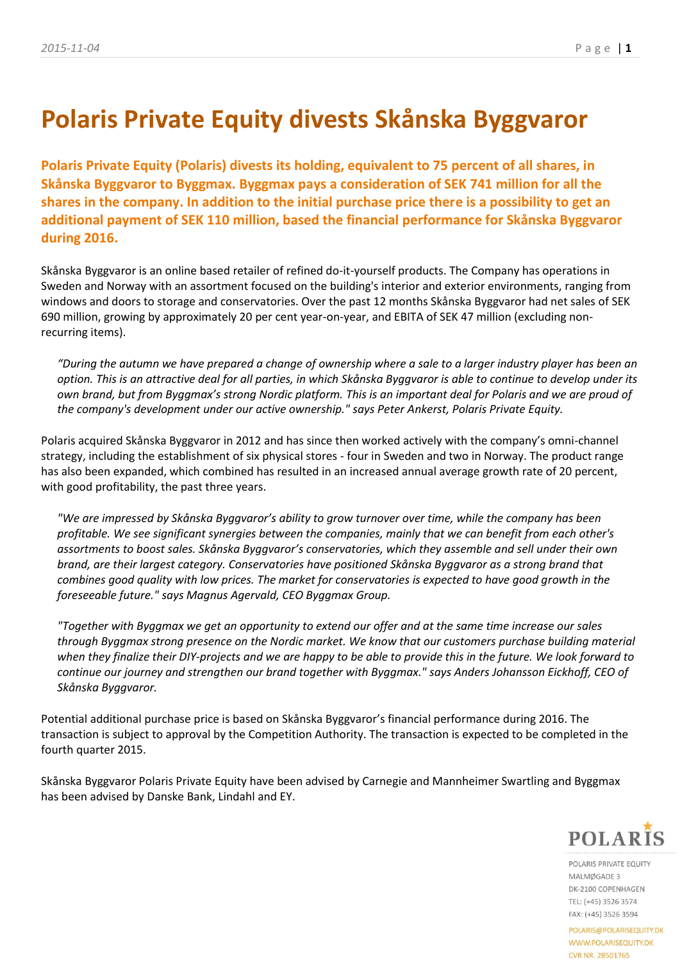# **Polaris Private Equity divests Skånska Byggvaror**

**Polaris Private Equity (Polaris) divests its holding, equivalent to 75 percent of all shares, in Skånska Byggvaror to Byggmax. Byggmax pays a consideration of SEK 741 million for all the shares in the company. In addition to the initial purchase price there is a possibility to get an additional payment of SEK 110 million, based the financial performance for Skånska Byggvaror during 2016.** 

Skånska Byggvaror is an online based retailer of refined do-it-yourself products. The Company has operations in Sweden and Norway with an assortment focused on the building's interior and exterior environments, ranging from windows and doors to storage and conservatories. Over the past 12 months Skånska Byggvaror had net sales of SEK 690 million, growing by approximately 20 per cent year-on-year, and EBITA of SEK 47 million (excluding nonrecurring items).

*"During the autumn we have prepared a change of ownership where a sale to a larger industry player has been an option. This is an attractive deal for all parties, in which Skånska Byggvaror is able to continue to develop under its own brand, but from Byggmax's strong Nordic platform. This is an important deal for Polaris and we are proud of the company's development under our active ownership." says Peter Ankerst, Polaris Private Equity.*

Polaris acquired Skånska Byggvaror in 2012 and has since then worked actively with the company's omni-channel strategy, including the establishment of six physical stores - four in Sweden and two in Norway. The product range has also been expanded, which combined has resulted in an increased annual average growth rate of 20 percent, with good profitability, the past three years.

*"We are impressed by Skånska Byggvaror's ability to grow turnover over time, while the company has been profitable. We see significant synergies between the companies, mainly that we can benefit from each other's assortments to boost sales. Skånska Byggvaror's conservatories, which they assemble and sell under their own brand, are their largest category. Conservatories have positioned Skånska Byggvaror as a strong brand that combines good quality with low prices. The market for conservatories is expected to have good growth in the foreseeable future." says Magnus Agervald, CEO Byggmax Group.*

*"Together with Byggmax we get an opportunity to extend our offer and at the same time increase our sales through Byggmax strong presence on the Nordic market. We know that our customers purchase building material when they finalize their DIY-projects and we are happy to be able to provide this in the future. We look forward to continue our journey and strengthen our brand together with Byggmax." says Anders Johansson Eickhoff, CEO of Skånska Byggvaror.* 

Potential additional purchase price is based on Skånska Byggvaror's financial performance during 2016. The transaction is subject to approval by the Competition Authority. The transaction is expected to be completed in the fourth quarter 2015.

Skånska Byggvaror Polaris Private Equity have been advised by Carnegie and Mannheimer Swartling and Byggmax has been advised by Danske Bank, Lindahl and EY.



POLARIS PRIVATE FOUITY MALMØGADE 3 DK-2100 COPENHAGEN TEL: (+45) 3526 3574 FAX: (+45) 3526 3594

POLARIS@POLARISEQUITY.DK WWW.POLARISEQUITY.DK CVR NR. 28501765